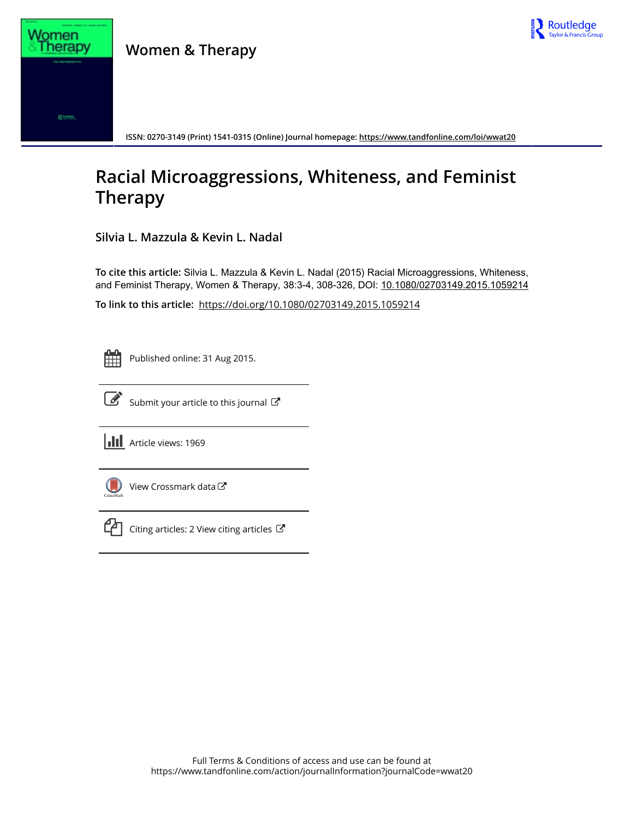

## **Women & Therapy**



**ISSN: 0270-3149 (Print) 1541-0315 (Online) Journal homepage: https://www.tandfonline.com/loi/wwat20**

# **Racial Microaggressions, Whiteness, and Feminist Therapy**

**Silvia L. Mazzula & Kevin L. Nadal**

**To cite this article:** Silvia L. Mazzula & Kevin L. Nadal (2015) Racial Microaggressions, Whiteness, and Feminist Therapy, Women & Therapy, 38:3-4, 308-326, DOI: 10.1080/02703149.2015.1059214

**To link to this article:** https://doi.org/10.1080/02703149.2015.1059214

Published online: 31 Aug 2015.



 $\overrightarrow{S}$  Submit your article to this journal  $\overrightarrow{S}$ 





View Crossmark data



Citing articles: 2 View citing articles  $\mathbb{Z}$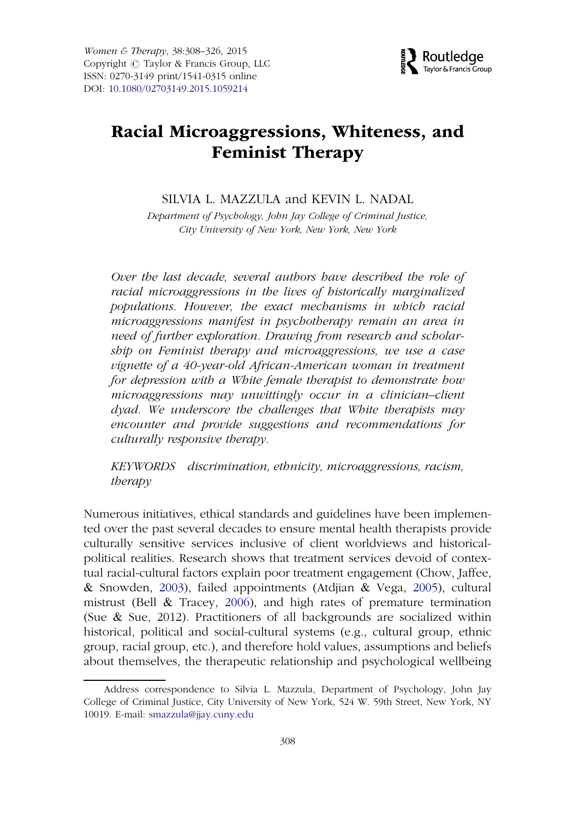

### Racial Microaggressions, Whiteness, and Feminist Therapy

SILVIA L. MAZZULA and KEVIN L. NADAL

Department of Psychology, John Jay College of Criminal Justice, City University of New York, New York, New York

Over the last decade, several authors have described the role of racial microaggressions in the lives of historically marginalized populations. However, the exact mechanisms in which racial microaggressions manifest in psychotherapy remain an area in need of further exploration. Drawing from research and scholarship on Feminist therapy and microaggressions, we use a case vignette of a 40-year-old African-American woman in treatment for depression with a White female therapist to demonstrate how microaggressions may unwittingly occur in a clinician–client dyad. We underscore the challenges that White therapists may encounter and provide suggestions and recommendations for culturally responsive therapy.

KEYWORDS discrimination, ethnicity, microaggressions, racism, therapy

Numerous initiatives, ethical standards and guidelines have been implemented over the past several decades to ensure mental health therapists provide culturally sensitive services inclusive of client worldviews and historicalpolitical realities. Research shows that treatment services devoid of contextual racial-cultural factors explain poor treatment engagement (Chow, Jaffee, & Snowden, 2003), failed appointments (Atdjian & Vega, 2005), cultural mistrust (Bell & Tracey, 2006), and high rates of premature termination (Sue & Sue, 2012). Practitioners of all backgrounds are socialized within historical, political and social-cultural systems (e.g., cultural group, ethnic group, racial group, etc.), and therefore hold values, assumptions and beliefs about themselves, the therapeutic relationship and psychological wellbeing

Address correspondence to Silvia L. Mazzula, Department of Psychology, John Jay College of Criminal Justice, City University of New York, 524 W. 59th Street, New York, NY 10019. E-mail: smazzula@jjay.cuny.edu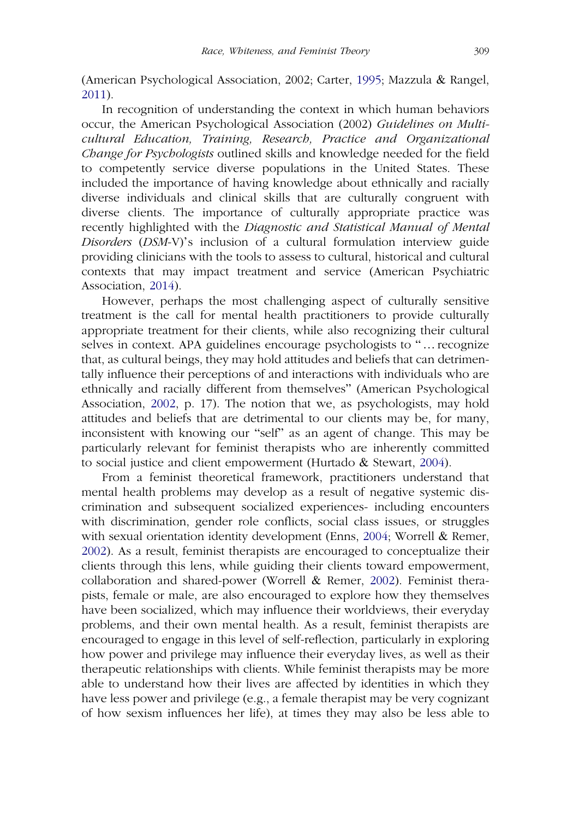(American Psychological Association, 2002; Carter, 1995; Mazzula & Rangel, 2011).

In recognition of understanding the context in which human behaviors occur, the American Psychological Association (2002) Guidelines on Multicultural Education, Training, Research, Practice and Organizational Change for Psychologists outlined skills and knowledge needed for the field to competently service diverse populations in the United States. These included the importance of having knowledge about ethnically and racially diverse individuals and clinical skills that are culturally congruent with diverse clients. The importance of culturally appropriate practice was recently highlighted with the Diagnostic and Statistical Manual of Mental Disorders (DSM-V)'s inclusion of a cultural formulation interview guide providing clinicians with the tools to assess to cultural, historical and cultural contexts that may impact treatment and service (American Psychiatric Association, 2014).

However, perhaps the most challenging aspect of culturally sensitive treatment is the call for mental health practitioners to provide culturally appropriate treatment for their clients, while also recognizing their cultural selves in context. APA guidelines encourage psychologists to "…recognize that, as cultural beings, they may hold attitudes and beliefs that can detrimentally influence their perceptions of and interactions with individuals who are ethnically and racially different from themselves" (American Psychological Association, 2002, p. 17). The notion that we, as psychologists, may hold attitudes and beliefs that are detrimental to our clients may be, for many, inconsistent with knowing our "self" as an agent of change. This may be particularly relevant for feminist therapists who are inherently committed to social justice and client empowerment (Hurtado & Stewart, 2004).

From a feminist theoretical framework, practitioners understand that mental health problems may develop as a result of negative systemic discrimination and subsequent socialized experiences- including encounters with discrimination, gender role conflicts, social class issues, or struggles with sexual orientation identity development (Enns, 2004; Worrell & Remer, 2002). As a result, feminist therapists are encouraged to conceptualize their clients through this lens, while guiding their clients toward empowerment, collaboration and shared-power (Worrell & Remer, 2002). Feminist therapists, female or male, are also encouraged to explore how they themselves have been socialized, which may influence their worldviews, their everyday problems, and their own mental health. As a result, feminist therapists are encouraged to engage in this level of self-reflection, particularly in exploring how power and privilege may influence their everyday lives, as well as their therapeutic relationships with clients. While feminist therapists may be more able to understand how their lives are affected by identities in which they have less power and privilege (e.g., a female therapist may be very cognizant of how sexism influences her life), at times they may also be less able to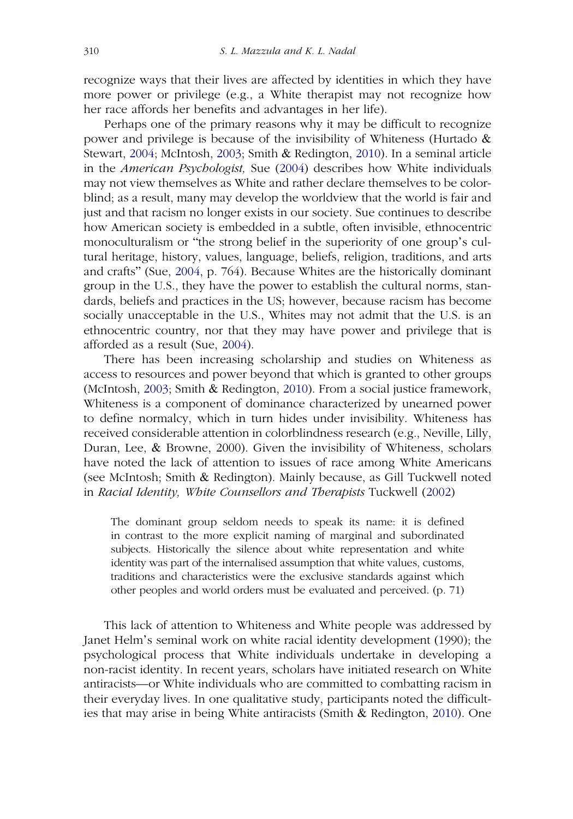recognize ways that their lives are affected by identities in which they have more power or privilege (e.g., a White therapist may not recognize how her race affords her benefits and advantages in her life).

Perhaps one of the primary reasons why it may be difficult to recognize power and privilege is because of the invisibility of Whiteness (Hurtado  $\&$ Stewart, 2004; McIntosh, 2003; Smith & Redington, 2010). In a seminal article in the American Psychologist, Sue (2004) describes how White individuals may not view themselves as White and rather declare themselves to be colorblind; as a result, many may develop the worldview that the world is fair and just and that racism no longer exists in our society. Sue continues to describe how American society is embedded in a subtle, often invisible, ethnocentric monoculturalism or "the strong belief in the superiority of one group's cultural heritage, history, values, language, beliefs, religion, traditions, and arts and crafts" (Sue, 2004, p. 764). Because Whites are the historically dominant group in the U.S., they have the power to establish the cultural norms, standards, beliefs and practices in the US; however, because racism has become socially unacceptable in the U.S., Whites may not admit that the U.S. is an ethnocentric country, nor that they may have power and privilege that is afforded as a result (Sue, 2004).

There has been increasing scholarship and studies on Whiteness as access to resources and power beyond that which is granted to other groups (McIntosh, 2003; Smith & Redington, 2010). From a social justice framework, Whiteness is a component of dominance characterized by unearned power to define normalcy, which in turn hides under invisibility. Whiteness has received considerable attention in colorblindness research (e.g., Neville, Lilly, Duran, Lee, & Browne, 2000). Given the invisibility of Whiteness, scholars have noted the lack of attention to issues of race among White Americans (see McIntosh; Smith & Redington). Mainly because, as Gill Tuckwell noted in Racial Identity, White Counsellors and Therapists Tuckwell (2002)

The dominant group seldom needs to speak its name: it is defined in contrast to the more explicit naming of marginal and subordinated subjects. Historically the silence about white representation and white identity was part of the internalised assumption that white values, customs, traditions and characteristics were the exclusive standards against which other peoples and world orders must be evaluated and perceived. (p. 71)

This lack of attention to Whiteness and White people was addressed by Janet Helm's seminal work on white racial identity development (1990); the psychological process that White individuals undertake in developing a non-racist identity. In recent years, scholars have initiated research on White antiracists—or White individuals who are committed to combatting racism in their everyday lives. In one qualitative study, participants noted the difficulties that may arise in being White antiracists (Smith & Redington, 2010). One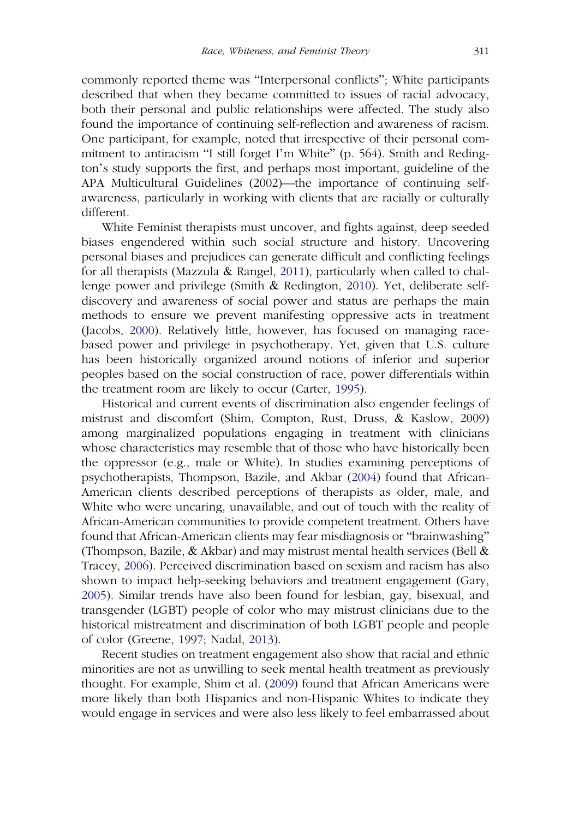commonly reported theme was "Interpersonal conflicts"; White participants described that when they became committed to issues of racial advocacy, both their personal and public relationships were affected. The study also found the importance of continuing self-reflection and awareness of racism. One participant, for example, noted that irrespective of their personal commitment to antiracism "I still forget I'm White" (p. 564). Smith and Redington's study supports the first, and perhaps most important, guideline of the APA Multicultural Guidelines (2002)—the importance of continuing selfawareness, particularly in working with clients that are racially or culturally different.

White Feminist therapists must uncover, and fights against, deep seeded biases engendered within such social structure and history. Uncovering personal biases and prejudices can generate difficult and conflicting feelings for all therapists (Mazzula  $\&$  Rangel, 2011), particularly when called to challenge power and privilege (Smith & Redington, 2010). Yet, deliberate selfdiscovery and awareness of social power and status are perhaps the main methods to ensure we prevent manifesting oppressive acts in treatment (Jacobs, 2000). Relatively little, however, has focused on managing racebased power and privilege in psychotherapy. Yet, given that U.S. culture has been historically organized around notions of inferior and superior peoples based on the social construction of race, power differentials within the treatment room are likely to occur (Carter, 1995).

Historical and current events of discrimination also engender feelings of mistrust and discomfort (Shim, Compton, Rust, Druss, & Kaslow, 2009) among marginalized populations engaging in treatment with clinicians whose characteristics may resemble that of those who have historically been the oppressor (e.g., male or White). In studies examining perceptions of psychotherapists, Thompson, Bazile, and Akbar (2004) found that African-American clients described perceptions of therapists as older, male, and White who were uncaring, unavailable, and out of touch with the reality of African-American communities to provide competent treatment. Others have found that African-American clients may fear misdiagnosis or "brainwashing" (Thompson, Bazile,  $\&$  Akbar) and may mistrust mental health services (Bell  $\&$ Tracey, 2006). Perceived discrimination based on sexism and racism has also shown to impact help-seeking behaviors and treatment engagement (Gary, 2005). Similar trends have also been found for lesbian, gay, bisexual, and transgender (LGBT) people of color who may mistrust clinicians due to the historical mistreatment and discrimination of both LGBT people and people of color (Greene, 1997; Nadal, 2013).

Recent studies on treatment engagement also show that racial and ethnic minorities are not as unwilling to seek mental health treatment as previously thought. For example, Shim et al. (2009) found that African Americans were more likely than both Hispanics and non-Hispanic Whites to indicate they would engage in services and were also less likely to feel embarrassed about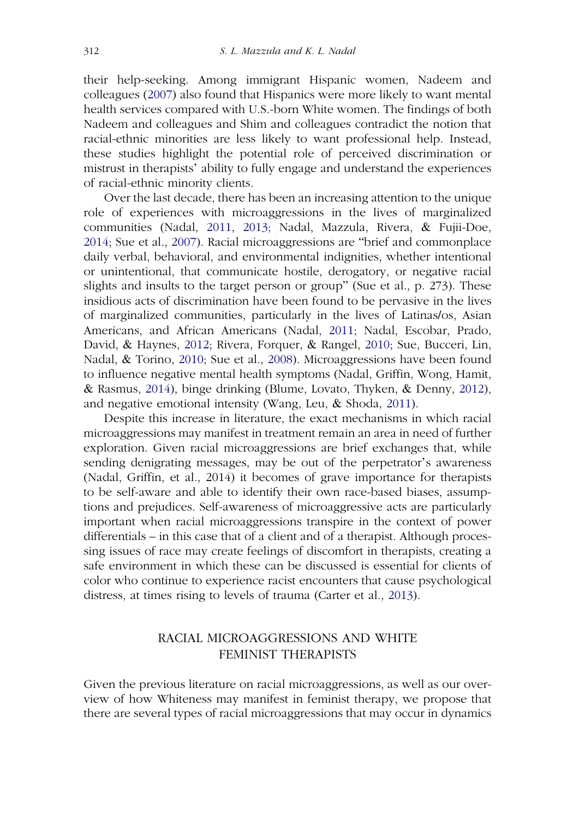their help-seeking. Among immigrant Hispanic women, Nadeem and colleagues (2007) also found that Hispanics were more likely to want mental health services compared with U.S.-born White women. The findings of both Nadeem and colleagues and Shim and colleagues contradict the notion that racial-ethnic minorities are less likely to want professional help. Instead, these studies highlight the potential role of perceived discrimination or mistrust in therapists' ability to fully engage and understand the experiences of racial-ethnic minority clients.

Over the last decade, there has been an increasing attention to the unique role of experiences with microaggressions in the lives of marginalized communities (Nadal, 2011, 2013; Nadal, Mazzula, Rivera, & Fujii-Doe, 2014; Sue et al., 2007). Racial microaggressions are "brief and commonplace daily verbal, behavioral, and environmental indignities, whether intentional or unintentional, that communicate hostile, derogatory, or negative racial slights and insults to the target person or group" (Sue et al., p. 273). These insidious acts of discrimination have been found to be pervasive in the lives of marginalized communities, particularly in the lives of Latinas/os, Asian Americans, and African Americans (Nadal, 2011; Nadal, Escobar, Prado, David, & Haynes, 2012; Rivera, Forquer, & Rangel, 2010; Sue, Bucceri, Lin, Nadal, & Torino, 2010; Sue et al., 2008). Microaggressions have been found to influence negative mental health symptoms (Nadal, Griffin, Wong, Hamit, & Rasmus, 2014), binge drinking (Blume, Lovato, Thyken, & Denny, 2012), and negative emotional intensity (Wang, Leu, & Shoda, 2011).

Despite this increase in literature, the exact mechanisms in which racial microaggressions may manifest in treatment remain an area in need of further exploration. Given racial microaggressions are brief exchanges that, while sending denigrating messages, may be out of the perpetrator's awareness (Nadal, Griffin, et al., 2014) it becomes of grave importance for therapists to be self-aware and able to identify their own race-based biases, assumptions and prejudices. Self-awareness of microaggressive acts are particularly important when racial microaggressions transpire in the context of power differentials – in this case that of a client and of a therapist. Although processing issues of race may create feelings of discomfort in therapists, creating a safe environment in which these can be discussed is essential for clients of color who continue to experience racist encounters that cause psychological distress, at times rising to levels of trauma (Carter et al., 2013).

#### RACIAL MICROAGGRESSIONS AND WHITE FEMINIST THERAPISTS

Given the previous literature on racial microaggressions, as well as our overview of how Whiteness may manifest in feminist therapy, we propose that there are several types of racial microaggressions that may occur in dynamics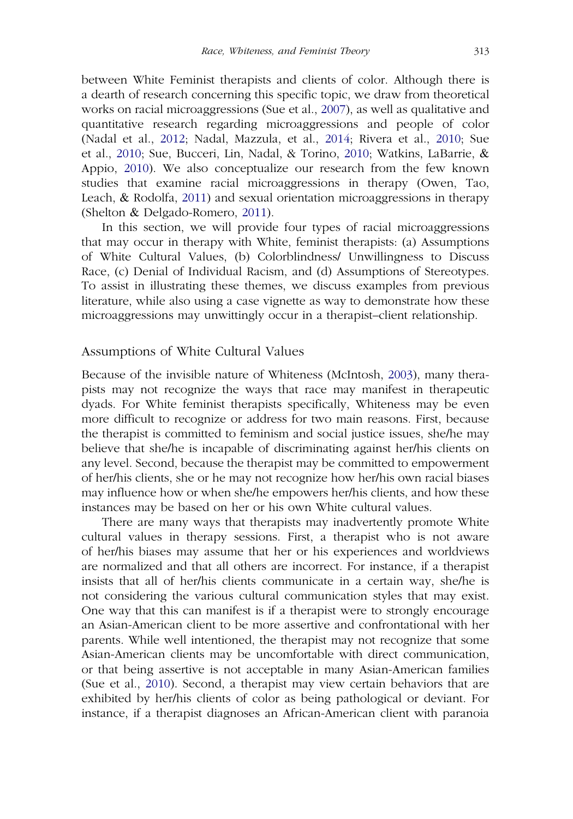between White Feminist therapists and clients of color. Although there is a dearth of research concerning this specific topic, we draw from theoretical works on racial microaggressions (Sue et al., 2007), as well as qualitative and quantitative research regarding microaggressions and people of color (Nadal et al., 2012; Nadal, Mazzula, et al., 2014; Rivera et al., 2010; Sue et al., 2010; Sue, Bucceri, Lin, Nadal, & Torino, 2010; Watkins, LaBarrie, & Appio, 2010). We also conceptualize our research from the few known studies that examine racial microaggressions in therapy (Owen, Tao, Leach, & Rodolfa, 2011) and sexual orientation microaggressions in therapy (Shelton & Delgado-Romero, 2011).

In this section, we will provide four types of racial microaggressions that may occur in therapy with White, feminist therapists: (a) Assumptions of White Cultural Values, (b) Colorblindness/ Unwillingness to Discuss Race, (c) Denial of Individual Racism, and (d) Assumptions of Stereotypes. To assist in illustrating these themes, we discuss examples from previous literature, while also using a case vignette as way to demonstrate how these microaggressions may unwittingly occur in a therapist–client relationship.

#### Assumptions of White Cultural Values

Because of the invisible nature of Whiteness (McIntosh, 2003), many therapists may not recognize the ways that race may manifest in therapeutic dyads. For White feminist therapists specifically, Whiteness may be even more difficult to recognize or address for two main reasons. First, because the therapist is committed to feminism and social justice issues, she/he may believe that she/he is incapable of discriminating against her/his clients on any level. Second, because the therapist may be committed to empowerment of her/his clients, she or he may not recognize how her/his own racial biases may influence how or when she/he empowers her/his clients, and how these instances may be based on her or his own White cultural values.

There are many ways that therapists may inadvertently promote White cultural values in therapy sessions. First, a therapist who is not aware of her/his biases may assume that her or his experiences and worldviews are normalized and that all others are incorrect. For instance, if a therapist insists that all of her/his clients communicate in a certain way, she/he is not considering the various cultural communication styles that may exist. One way that this can manifest is if a therapist were to strongly encourage an Asian-American client to be more assertive and confrontational with her parents. While well intentioned, the therapist may not recognize that some Asian-American clients may be uncomfortable with direct communication, or that being assertive is not acceptable in many Asian-American families (Sue et al., 2010). Second, a therapist may view certain behaviors that are exhibited by her/his clients of color as being pathological or deviant. For instance, if a therapist diagnoses an African-American client with paranoia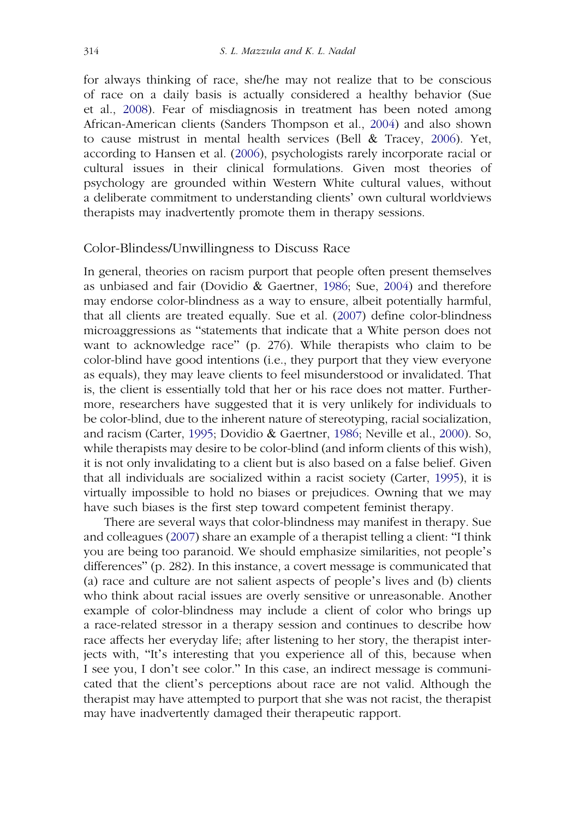for always thinking of race, she/he may not realize that to be conscious of race on a daily basis is actually considered a healthy behavior (Sue et al., 2008). Fear of misdiagnosis in treatment has been noted among African-American clients (Sanders Thompson et al., 2004) and also shown to cause mistrust in mental health services (Bell  $&$  Tracey, 2006). Yet, according to Hansen et al. (2006), psychologists rarely incorporate racial or cultural issues in their clinical formulations. Given most theories of psychology are grounded within Western White cultural values, without a deliberate commitment to understanding clients' own cultural worldviews therapists may inadvertently promote them in therapy sessions.

#### Color-Blindess/Unwillingness to Discuss Race

In general, theories on racism purport that people often present themselves as unbiased and fair (Dovidio & Gaertner, 1986; Sue, 2004) and therefore may endorse color-blindness as a way to ensure, albeit potentially harmful, that all clients are treated equally. Sue et al. (2007) define color-blindness microaggressions as "statements that indicate that a White person does not want to acknowledge race" (p. 276). While therapists who claim to be color-blind have good intentions (i.e., they purport that they view everyone as equals), they may leave clients to feel misunderstood or invalidated. That is, the client is essentially told that her or his race does not matter. Furthermore, researchers have suggested that it is very unlikely for individuals to be color-blind, due to the inherent nature of stereotyping, racial socialization, and racism (Carter, 1995; Dovidio & Gaertner, 1986; Neville et al., 2000). So, while therapists may desire to be color-blind (and inform clients of this wish), it is not only invalidating to a client but is also based on a false belief. Given that all individuals are socialized within a racist society (Carter, 1995), it is virtually impossible to hold no biases or prejudices. Owning that we may have such biases is the first step toward competent feminist therapy.

There are several ways that color-blindness may manifest in therapy. Sue and colleagues (2007) share an example of a therapist telling a client: "I think you are being too paranoid. We should emphasize similarities, not people's differences" (p. 282). In this instance, a covert message is communicated that (a) race and culture are not salient aspects of people's lives and (b) clients who think about racial issues are overly sensitive or unreasonable. Another example of color-blindness may include a client of color who brings up a race-related stressor in a therapy session and continues to describe how race affects her everyday life; after listening to her story, the therapist interjects with, "It's interesting that you experience all of this, because when I see you, I don't see color." In this case, an indirect message is communicated that the client's perceptions about race are not valid. Although the therapist may have attempted to purport that she was not racist, the therapist may have inadvertently damaged their therapeutic rapport.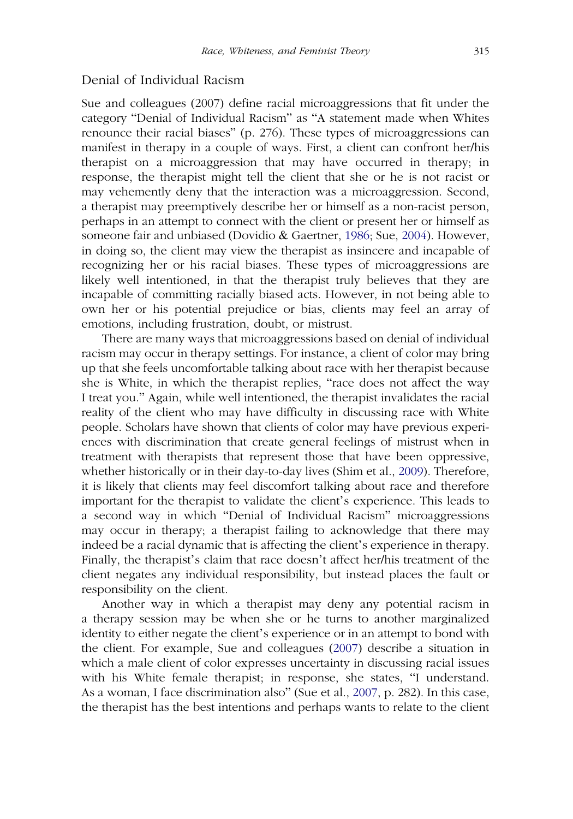#### Denial of Individual Racism

Sue and colleagues (2007) define racial microaggressions that fit under the category "Denial of Individual Racism" as "A statement made when Whites renounce their racial biases" (p. 276). These types of microaggressions can manifest in therapy in a couple of ways. First, a client can confront her/his therapist on a microaggression that may have occurred in therapy; in response, the therapist might tell the client that she or he is not racist or may vehemently deny that the interaction was a microaggression. Second, a therapist may preemptively describe her or himself as a non-racist person, perhaps in an attempt to connect with the client or present her or himself as someone fair and unbiased (Dovidio & Gaertner, 1986; Sue, 2004). However, in doing so, the client may view the therapist as insincere and incapable of recognizing her or his racial biases. These types of microaggressions are likely well intentioned, in that the therapist truly believes that they are incapable of committing racially biased acts. However, in not being able to own her or his potential prejudice or bias, clients may feel an array of emotions, including frustration, doubt, or mistrust.

There are many ways that microaggressions based on denial of individual racism may occur in therapy settings. For instance, a client of color may bring up that she feels uncomfortable talking about race with her therapist because she is White, in which the therapist replies, "race does not affect the way I treat you." Again, while well intentioned, the therapist invalidates the racial reality of the client who may have difficulty in discussing race with White people. Scholars have shown that clients of color may have previous experiences with discrimination that create general feelings of mistrust when in treatment with therapists that represent those that have been oppressive, whether historically or in their day-to-day lives (Shim et al., 2009). Therefore, it is likely that clients may feel discomfort talking about race and therefore important for the therapist to validate the client's experience. This leads to a second way in which "Denial of Individual Racism" microaggressions may occur in therapy; a therapist failing to acknowledge that there may indeed be a racial dynamic that is affecting the client's experience in therapy. Finally, the therapist's claim that race doesn't affect her/his treatment of the client negates any individual responsibility, but instead places the fault or responsibility on the client.

Another way in which a therapist may deny any potential racism in a therapy session may be when she or he turns to another marginalized identity to either negate the client's experience or in an attempt to bond with the client. For example, Sue and colleagues (2007) describe a situation in which a male client of color expresses uncertainty in discussing racial issues with his White female therapist; in response, she states, "I understand. As a woman, I face discrimination also" (Sue et al., 2007, p. 282). In this case, the therapist has the best intentions and perhaps wants to relate to the client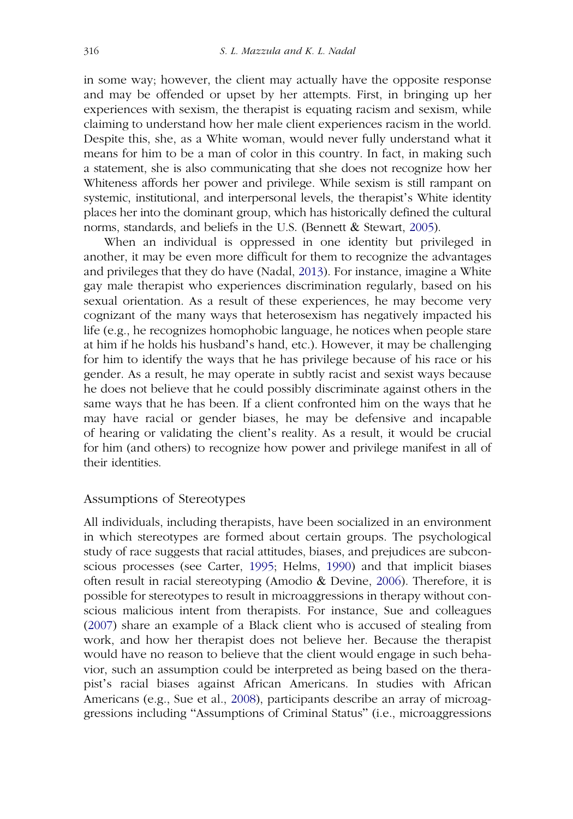in some way; however, the client may actually have the opposite response and may be offended or upset by her attempts. First, in bringing up her experiences with sexism, the therapist is equating racism and sexism, while claiming to understand how her male client experiences racism in the world. Despite this, she, as a White woman, would never fully understand what it means for him to be a man of color in this country. In fact, in making such a statement, she is also communicating that she does not recognize how her Whiteness affords her power and privilege. While sexism is still rampant on systemic, institutional, and interpersonal levels, the therapist's White identity places her into the dominant group, which has historically defined the cultural norms, standards, and beliefs in the U.S. (Bennett & Stewart, 2005).

When an individual is oppressed in one identity but privileged in another, it may be even more difficult for them to recognize the advantages and privileges that they do have (Nadal, 2013). For instance, imagine a White gay male therapist who experiences discrimination regularly, based on his sexual orientation. As a result of these experiences, he may become very cognizant of the many ways that heterosexism has negatively impacted his life (e.g., he recognizes homophobic language, he notices when people stare at him if he holds his husband's hand, etc.). However, it may be challenging for him to identify the ways that he has privilege because of his race or his gender. As a result, he may operate in subtly racist and sexist ways because he does not believe that he could possibly discriminate against others in the same ways that he has been. If a client confronted him on the ways that he may have racial or gender biases, he may be defensive and incapable of hearing or validating the client's reality. As a result, it would be crucial for him (and others) to recognize how power and privilege manifest in all of their identities.

#### Assumptions of Stereotypes

All individuals, including therapists, have been socialized in an environment in which stereotypes are formed about certain groups. The psychological study of race suggests that racial attitudes, biases, and prejudices are subconscious processes (see Carter, 1995; Helms, 1990) and that implicit biases often result in racial stereotyping (Amodio & Devine, 2006). Therefore, it is possible for stereotypes to result in microaggressions in therapy without conscious malicious intent from therapists. For instance, Sue and colleagues (2007) share an example of a Black client who is accused of stealing from work, and how her therapist does not believe her. Because the therapist would have no reason to believe that the client would engage in such behavior, such an assumption could be interpreted as being based on the therapist's racial biases against African Americans. In studies with African Americans (e.g., Sue et al., 2008), participants describe an array of microaggressions including "Assumptions of Criminal Status" (i.e., microaggressions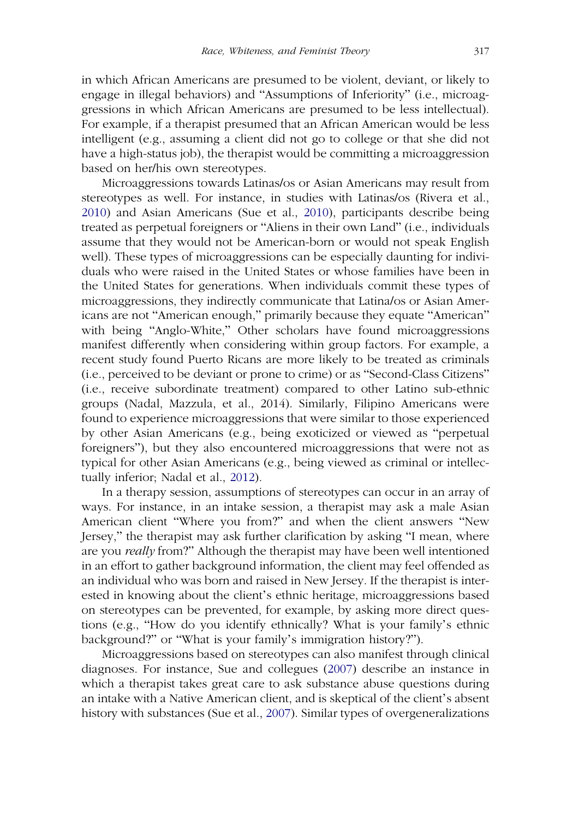in which African Americans are presumed to be violent, deviant, or likely to engage in illegal behaviors) and "Assumptions of Inferiority" (i.e., microaggressions in which African Americans are presumed to be less intellectual). For example, if a therapist presumed that an African American would be less intelligent (e.g., assuming a client did not go to college or that she did not have a high-status job), the therapist would be committing a microaggression based on her/his own stereotypes.

Microaggressions towards Latinas/os or Asian Americans may result from stereotypes as well. For instance, in studies with Latinas/os (Rivera et al., 2010) and Asian Americans (Sue et al., 2010), participants describe being treated as perpetual foreigners or "Aliens in their own Land" (i.e., individuals assume that they would not be American-born or would not speak English well). These types of microaggressions can be especially daunting for individuals who were raised in the United States or whose families have been in the United States for generations. When individuals commit these types of microaggressions, they indirectly communicate that Latina/os or Asian Americans are not "American enough," primarily because they equate "American" with being "Anglo-White," Other scholars have found microaggressions manifest differently when considering within group factors. For example, a recent study found Puerto Ricans are more likely to be treated as criminals (i.e., perceived to be deviant or prone to crime) or as "Second-Class Citizens" (i.e., receive subordinate treatment) compared to other Latino sub-ethnic groups (Nadal, Mazzula, et al., 2014). Similarly, Filipino Americans were found to experience microaggressions that were similar to those experienced by other Asian Americans (e.g., being exoticized or viewed as "perpetual foreigners"), but they also encountered microaggressions that were not as typical for other Asian Americans (e.g., being viewed as criminal or intellectually inferior; Nadal et al., 2012).

In a therapy session, assumptions of stereotypes can occur in an array of ways. For instance, in an intake session, a therapist may ask a male Asian American client "Where you from?" and when the client answers "New Jersey," the therapist may ask further clarification by asking "I mean, where are you *really* from?" Although the therapist may have been well intentioned in an effort to gather background information, the client may feel offended as an individual who was born and raised in New Jersey. If the therapist is interested in knowing about the client's ethnic heritage, microaggressions based on stereotypes can be prevented, for example, by asking more direct questions (e.g., "How do you identify ethnically? What is your family's ethnic background?" or "What is your family's immigration history?").

Microaggressions based on stereotypes can also manifest through clinical diagnoses. For instance, Sue and collegues (2007) describe an instance in which a therapist takes great care to ask substance abuse questions during an intake with a Native American client, and is skeptical of the client's absent history with substances (Sue et al., 2007). Similar types of overgeneralizations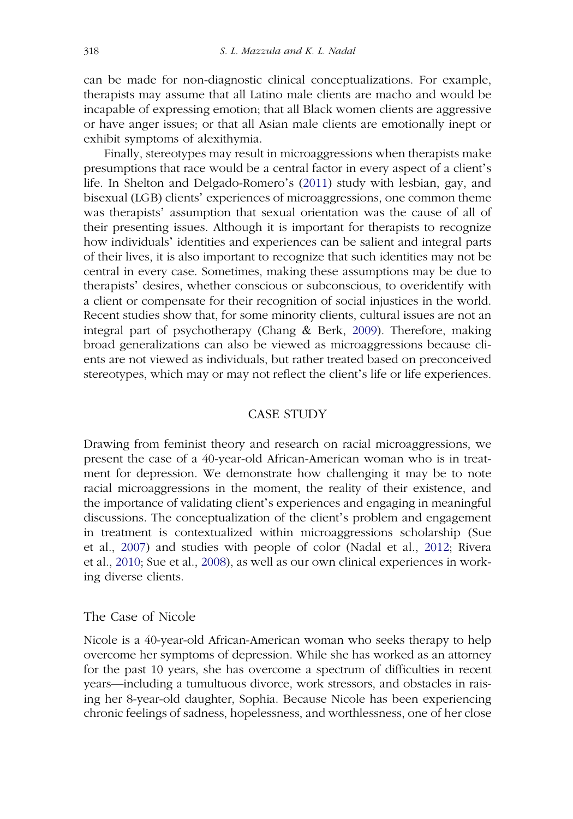can be made for non-diagnostic clinical conceptualizations. For example, therapists may assume that all Latino male clients are macho and would be incapable of expressing emotion; that all Black women clients are aggressive or have anger issues; or that all Asian male clients are emotionally inept or exhibit symptoms of alexithymia.

Finally, stereotypes may result in microaggressions when therapists make presumptions that race would be a central factor in every aspect of a client's life. In Shelton and Delgado-Romero's (2011) study with lesbian, gay, and bisexual (LGB) clients' experiences of microaggressions, one common theme was therapists' assumption that sexual orientation was the cause of all of their presenting issues. Although it is important for therapists to recognize how individuals' identities and experiences can be salient and integral parts of their lives, it is also important to recognize that such identities may not be central in every case. Sometimes, making these assumptions may be due to therapists' desires, whether conscious or subconscious, to overidentify with a client or compensate for their recognition of social injustices in the world. Recent studies show that, for some minority clients, cultural issues are not an integral part of psychotherapy (Chang & Berk, 2009). Therefore, making broad generalizations can also be viewed as microaggressions because clients are not viewed as individuals, but rather treated based on preconceived stereotypes, which may or may not reflect the client's life or life experiences.

#### CASE STUDY

Drawing from feminist theory and research on racial microaggressions, we present the case of a 40-year-old African-American woman who is in treatment for depression. We demonstrate how challenging it may be to note racial microaggressions in the moment, the reality of their existence, and the importance of validating client's experiences and engaging in meaningful discussions. The conceptualization of the client's problem and engagement in treatment is contextualized within microaggressions scholarship (Sue et al., 2007) and studies with people of color (Nadal et al., 2012; Rivera et al., 2010; Sue et al., 2008), as well as our own clinical experiences in working diverse clients.

#### The Case of Nicole

Nicole is a 40-year-old African-American woman who seeks therapy to help overcome her symptoms of depression. While she has worked as an attorney for the past 10 years, she has overcome a spectrum of difficulties in recent years—including a tumultuous divorce, work stressors, and obstacles in raising her 8-year-old daughter, Sophia. Because Nicole has been experiencing chronic feelings of sadness, hopelessness, and worthlessness, one of her close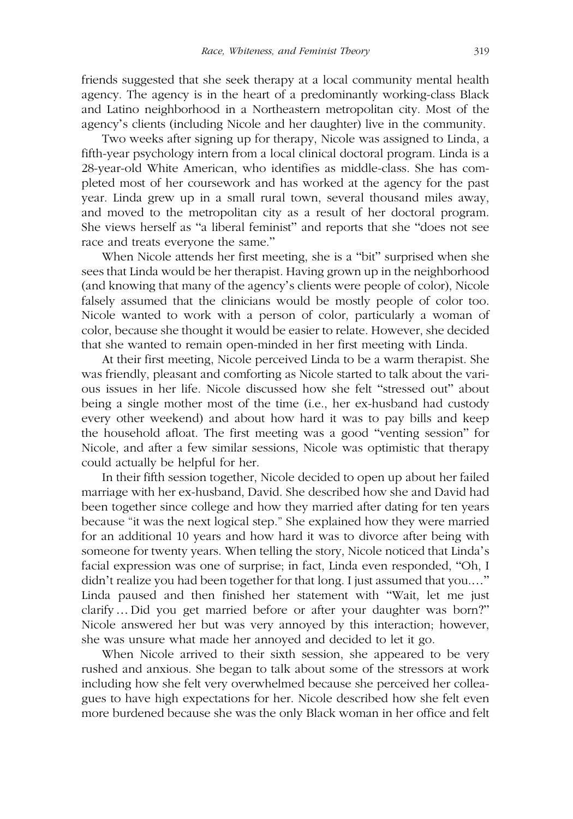friends suggested that she seek therapy at a local community mental health agency. The agency is in the heart of a predominantly working-class Black and Latino neighborhood in a Northeastern metropolitan city. Most of the agency's clients (including Nicole and her daughter) live in the community.

Two weeks after signing up for therapy, Nicole was assigned to Linda, a fifth-year psychology intern from a local clinical doctoral program. Linda is a 28-year-old White American, who identifies as middle-class. She has completed most of her coursework and has worked at the agency for the past year. Linda grew up in a small rural town, several thousand miles away, and moved to the metropolitan city as a result of her doctoral program. She views herself as "a liberal feminist" and reports that she "does not see race and treats everyone the same."

When Nicole attends her first meeting, she is a "bit" surprised when she sees that Linda would be her therapist. Having grown up in the neighborhood (and knowing that many of the agency's clients were people of color), Nicole falsely assumed that the clinicians would be mostly people of color too. Nicole wanted to work with a person of color, particularly a woman of color, because she thought it would be easier to relate. However, she decided that she wanted to remain open-minded in her first meeting with Linda.

At their first meeting, Nicole perceived Linda to be a warm therapist. She was friendly, pleasant and comforting as Nicole started to talk about the various issues in her life. Nicole discussed how she felt "stressed out" about being a single mother most of the time (i.e., her ex-husband had custody every other weekend) and about how hard it was to pay bills and keep the household afloat. The first meeting was a good "venting session" for Nicole, and after a few similar sessions, Nicole was optimistic that therapy could actually be helpful for her.

In their fifth session together, Nicole decided to open up about her failed marriage with her ex-husband, David. She described how she and David had been together since college and how they married after dating for ten years because "it was the next logical step." She explained how they were married for an additional 10 years and how hard it was to divorce after being with someone for twenty years. When telling the story, Nicole noticed that Linda's facial expression was one of surprise; in fact, Linda even responded, "Oh, I didn't realize you had been together for that long. I just assumed that you...." Linda paused and then finished her statement with "Wait, let me just clarify … Did you get married before or after your daughter was born?" Nicole answered her but was very annoyed by this interaction; however, she was unsure what made her annoyed and decided to let it go.

When Nicole arrived to their sixth session, she appeared to be very rushed and anxious. She began to talk about some of the stressors at work including how she felt very overwhelmed because she perceived her colleagues to have high expectations for her. Nicole described how she felt even more burdened because she was the only Black woman in her office and felt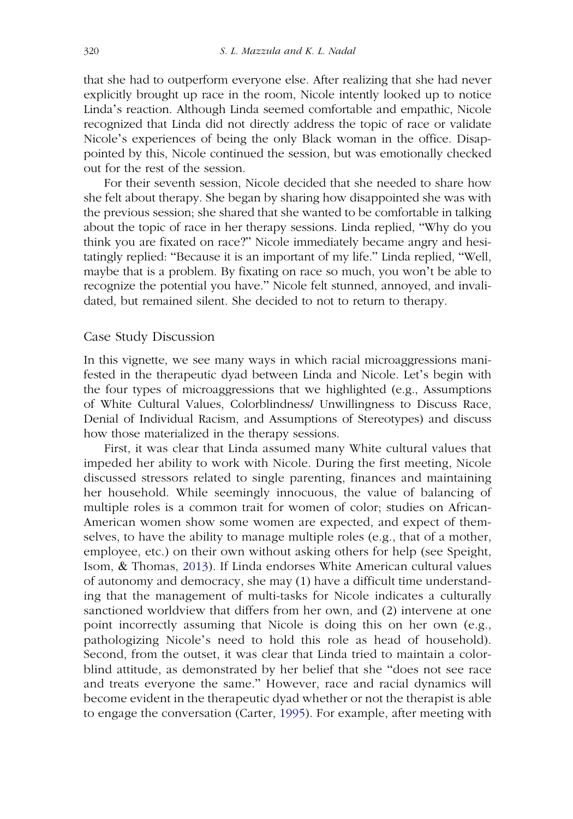that she had to outperform everyone else. After realizing that she had never explicitly brought up race in the room, Nicole intently looked up to notice Linda's reaction. Although Linda seemed comfortable and empathic, Nicole recognized that Linda did not directly address the topic of race or validate Nicole's experiences of being the only Black woman in the office. Disappointed by this, Nicole continued the session, but was emotionally checked out for the rest of the session.

For their seventh session, Nicole decided that she needed to share how she felt about therapy. She began by sharing how disappointed she was with the previous session; she shared that she wanted to be comfortable in talking about the topic of race in her therapy sessions. Linda replied, "Why do you think you are fixated on race?" Nicole immediately became angry and hesitatingly replied: "Because it is an important of my life." Linda replied, "Well, maybe that is a problem. By fixating on race so much, you won't be able to recognize the potential you have." Nicole felt stunned, annoyed, and invalidated, but remained silent. She decided to not to return to therapy.

#### Case Study Discussion

In this vignette, we see many ways in which racial microaggressions manifested in the therapeutic dyad between Linda and Nicole. Let's begin with the four types of microaggressions that we highlighted (e.g., Assumptions of White Cultural Values, Colorblindness/ Unwillingness to Discuss Race, Denial of Individual Racism, and Assumptions of Stereotypes) and discuss how those materialized in the therapy sessions.

First, it was clear that Linda assumed many White cultural values that impeded her ability to work with Nicole. During the first meeting, Nicole discussed stressors related to single parenting, finances and maintaining her household. While seemingly innocuous, the value of balancing of multiple roles is a common trait for women of color; studies on African-American women show some women are expected, and expect of themselves, to have the ability to manage multiple roles (e.g., that of a mother, employee, etc.) on their own without asking others for help (see Speight, Isom, & Thomas, 2013). If Linda endorses White American cultural values of autonomy and democracy, she may (1) have a difficult time understanding that the management of multi-tasks for Nicole indicates a culturally sanctioned worldview that differs from her own, and (2) intervene at one point incorrectly assuming that Nicole is doing this on her own (e.g., pathologizing Nicole's need to hold this role as head of household). Second, from the outset, it was clear that Linda tried to maintain a colorblind attitude, as demonstrated by her belief that she "does not see race and treats everyone the same." However, race and racial dynamics will become evident in the therapeutic dyad whether or not the therapist is able to engage the conversation (Carter, 1995). For example, after meeting with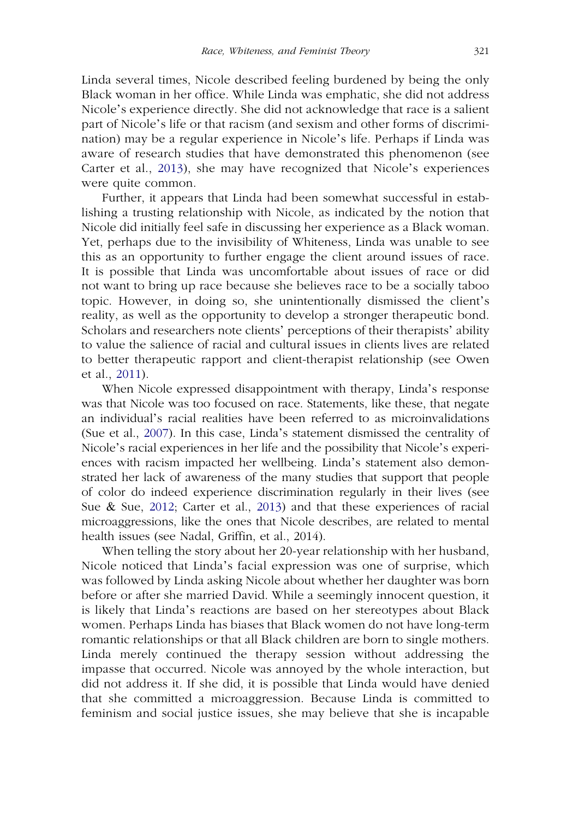Linda several times, Nicole described feeling burdened by being the only Black woman in her office. While Linda was emphatic, she did not address Nicole's experience directly. She did not acknowledge that race is a salient part of Nicole's life or that racism (and sexism and other forms of discrimination) may be a regular experience in Nicole's life. Perhaps if Linda was aware of research studies that have demonstrated this phenomenon (see Carter et al., 2013), she may have recognized that Nicole's experiences were quite common.

Further, it appears that Linda had been somewhat successful in establishing a trusting relationship with Nicole, as indicated by the notion that Nicole did initially feel safe in discussing her experience as a Black woman. Yet, perhaps due to the invisibility of Whiteness, Linda was unable to see this as an opportunity to further engage the client around issues of race. It is possible that Linda was uncomfortable about issues of race or did not want to bring up race because she believes race to be a socially taboo topic. However, in doing so, she unintentionally dismissed the client's reality, as well as the opportunity to develop a stronger therapeutic bond. Scholars and researchers note clients' perceptions of their therapists' ability to value the salience of racial and cultural issues in clients lives are related to better therapeutic rapport and client-therapist relationship (see Owen et al., 2011).

When Nicole expressed disappointment with therapy, Linda's response was that Nicole was too focused on race. Statements, like these, that negate an individual's racial realities have been referred to as microinvalidations (Sue et al., 2007). In this case, Linda's statement dismissed the centrality of Nicole's racial experiences in her life and the possibility that Nicole's experiences with racism impacted her wellbeing. Linda's statement also demonstrated her lack of awareness of the many studies that support that people of color do indeed experience discrimination regularly in their lives (see Sue & Sue, 2012; Carter et al., 2013) and that these experiences of racial microaggressions, like the ones that Nicole describes, are related to mental health issues (see Nadal, Griffin, et al., 2014).

When telling the story about her 20-year relationship with her husband, Nicole noticed that Linda's facial expression was one of surprise, which was followed by Linda asking Nicole about whether her daughter was born before or after she married David. While a seemingly innocent question, it is likely that Linda's reactions are based on her stereotypes about Black women. Perhaps Linda has biases that Black women do not have long-term romantic relationships or that all Black children are born to single mothers. Linda merely continued the therapy session without addressing the impasse that occurred. Nicole was annoyed by the whole interaction, but did not address it. If she did, it is possible that Linda would have denied that she committed a microaggression. Because Linda is committed to feminism and social justice issues, she may believe that she is incapable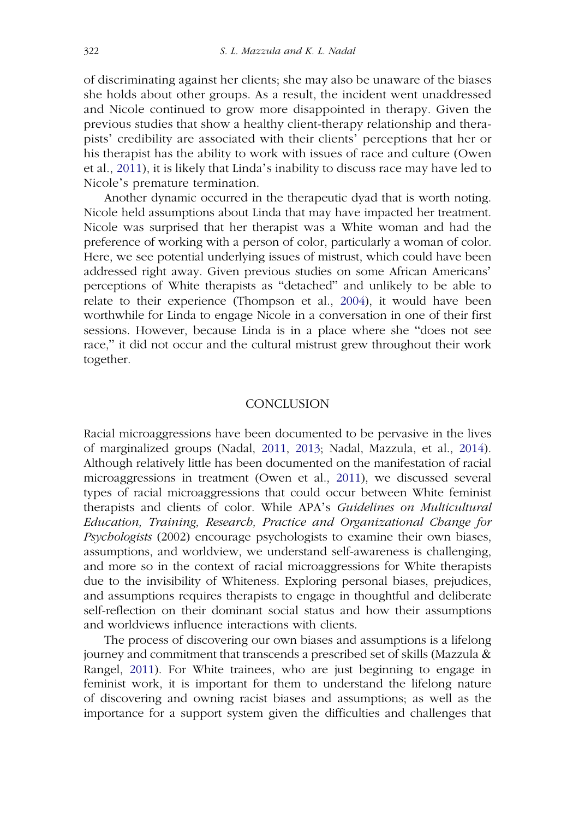of discriminating against her clients; she may also be unaware of the biases she holds about other groups. As a result, the incident went unaddressed and Nicole continued to grow more disappointed in therapy. Given the previous studies that show a healthy client-therapy relationship and therapists' credibility are associated with their clients' perceptions that her or his therapist has the ability to work with issues of race and culture (Owen et al., 2011), it is likely that Linda's inability to discuss race may have led to Nicole's premature termination.

Another dynamic occurred in the therapeutic dyad that is worth noting. Nicole held assumptions about Linda that may have impacted her treatment. Nicole was surprised that her therapist was a White woman and had the preference of working with a person of color, particularly a woman of color. Here, we see potential underlying issues of mistrust, which could have been addressed right away. Given previous studies on some African Americans' perceptions of White therapists as "detached" and unlikely to be able to relate to their experience (Thompson et al., 2004), it would have been worthwhile for Linda to engage Nicole in a conversation in one of their first sessions. However, because Linda is in a place where she "does not see race," it did not occur and the cultural mistrust grew throughout their work together.

#### **CONCLUSION**

Racial microaggressions have been documented to be pervasive in the lives of marginalized groups (Nadal, 2011, 2013; Nadal, Mazzula, et al., 2014). Although relatively little has been documented on the manifestation of racial microaggressions in treatment (Owen et al., 2011), we discussed several types of racial microaggressions that could occur between White feminist therapists and clients of color. While APA's Guidelines on Multicultural Education, Training, Research, Practice and Organizational Change for Psychologists (2002) encourage psychologists to examine their own biases, assumptions, and worldview, we understand self-awareness is challenging, and more so in the context of racial microaggressions for White therapists due to the invisibility of Whiteness. Exploring personal biases, prejudices, and assumptions requires therapists to engage in thoughtful and deliberate self-reflection on their dominant social status and how their assumptions and worldviews influence interactions with clients.

The process of discovering our own biases and assumptions is a lifelong journey and commitment that transcends a prescribed set of skills (Mazzula & Rangel, 2011). For White trainees, who are just beginning to engage in feminist work, it is important for them to understand the lifelong nature of discovering and owning racist biases and assumptions; as well as the importance for a support system given the difficulties and challenges that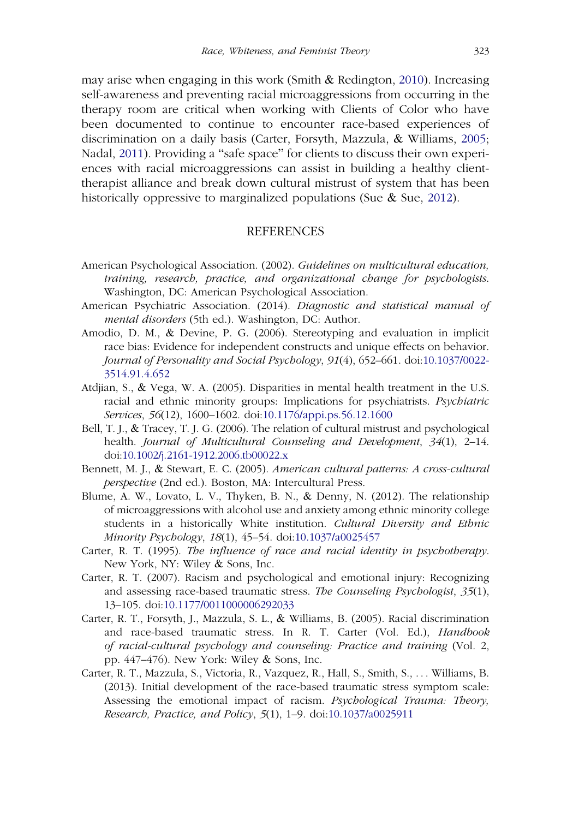may arise when engaging in this work (Smith  $\&$  Redington, 2010). Increasing self-awareness and preventing racial microaggressions from occurring in the therapy room are critical when working with Clients of Color who have been documented to continue to encounter race-based experiences of discrimination on a daily basis (Carter, Forsyth, Mazzula, & Williams, 2005; Nadal, 2011). Providing a "safe space" for clients to discuss their own experiences with racial microaggressions can assist in building a healthy clienttherapist alliance and break down cultural mistrust of system that has been historically oppressive to marginalized populations (Sue & Sue, 2012).

#### **REFERENCES**

- American Psychological Association. (2002). Guidelines on multicultural education, training, research, practice, and organizational change for psychologists. Washington, DC: American Psychological Association.
- American Psychiatric Association. (2014). Diagnostic and statistical manual of mental disorders (5th ed.). Washington, DC: Author.
- Amodio, D. M., & Devine, P. G. (2006). Stereotyping and evaluation in implicit race bias: Evidence for independent constructs and unique effects on behavior. Journal of Personality and Social Psychology, 91(4), 652–661. doi:10.1037/0022- 3514.91.4.652
- Atdjian, S., & Vega, W. A. (2005). Disparities in mental health treatment in the U.S. racial and ethnic minority groups: Implications for psychiatrists. Psychiatric Services, 56(12), 1600–1602. doi:10.1176/appi.ps.56.12.1600
- Bell, T. J., & Tracey, T. J. G. (2006). The relation of cultural mistrust and psychological health. Journal of Multicultural Counseling and Development, 34(1), 2–14. doi:10.1002/j.2161-1912.2006.tb00022.x
- Bennett, M. J., & Stewart, E. C. (2005). American cultural patterns: A cross-cultural perspective (2nd ed.). Boston, MA: Intercultural Press.
- Blume, A. W., Lovato, L. V., Thyken, B. N., & Denny, N. (2012). The relationship of microaggressions with alcohol use and anxiety among ethnic minority college students in a historically White institution. Cultural Diversity and Ethnic Minority Psychology, 18(1), 45–54. doi:10.1037/a0025457
- Carter, R. T. (1995). The influence of race and racial identity in psychotherapy. New York, NY: Wiley & Sons, Inc.
- Carter, R. T. (2007). Racism and psychological and emotional injury: Recognizing and assessing race-based traumatic stress. The Counseling Psychologist, 35(1), 13–105. doi:10.1177/0011000006292033
- Carter, R. T., Forsyth, J., Mazzula, S. L., & Williams, B. (2005). Racial discrimination and race-based traumatic stress. In R. T. Carter (Vol. Ed.), Handbook of racial-cultural psychology and counseling: Practice and training (Vol. 2, pp. 447–476). New York: Wiley & Sons, Inc.
- Carter, R. T., Mazzula, S., Victoria, R., Vazquez, R., Hall, S., Smith, S., . . . Williams, B. (2013). Initial development of the race-based traumatic stress symptom scale: Assessing the emotional impact of racism. Psychological Trauma: Theory, Research, Practice, and Policy, 5(1), 1–9. doi:10.1037/a0025911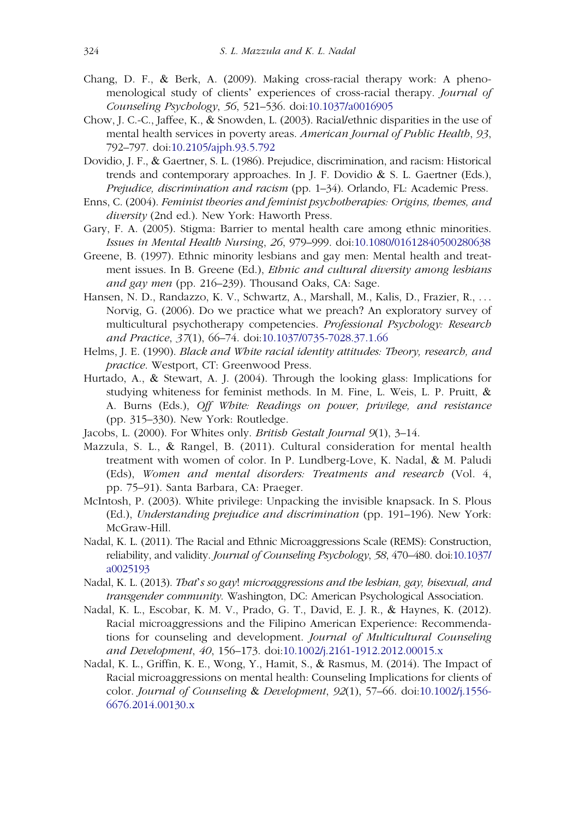- Chang, D. F., & Berk, A. (2009). Making cross-racial therapy work: A phenomenological study of clients' experiences of cross-racial therapy. Journal of Counseling Psychology, 56, 521–536. doi:10.1037/a0016905
- Chow, J. C.-C., Jaffee, K., & Snowden, L. (2003). Racial/ethnic disparities in the use of mental health services in poverty areas. American Journal of Public Health, 93, 792–797. doi:10.2105/ajph.93.5.792
- Dovidio, J. F., & Gaertner, S. L. (1986). Prejudice, discrimination, and racism: Historical trends and contemporary approaches. In J. F. Dovidio & S. L. Gaertner (Eds.), Prejudice, discrimination and racism (pp. 1–34). Orlando, FL: Academic Press.
- Enns, C. (2004). Feminist theories and feminist psychotherapies: Origins, themes, and diversity (2nd ed.). New York: Haworth Press.
- Gary, F. A. (2005). Stigma: Barrier to mental health care among ethnic minorities. Issues in Mental Health Nursing, 26, 979–999. doi:10.1080/01612840500280638
- Greene, B. (1997). Ethnic minority lesbians and gay men: Mental health and treatment issues. In B. Greene (Ed.), Ethnic and cultural diversity among lesbians and gay men (pp. 216–239). Thousand Oaks, CA: Sage.
- Hansen, N. D., Randazzo, K. V., Schwartz, A., Marshall, M., Kalis, D., Frazier, R., . . . Norvig, G. (2006). Do we practice what we preach? An exploratory survey of multicultural psychotherapy competencies. Professional Psychology: Research and Practice, 37(1), 66–74. doi:10.1037/0735-7028.37.1.66
- Helms, J. E. (1990). Black and White racial identity attitudes: Theory, research, and practice. Westport, CT: Greenwood Press.
- Hurtado, A., & Stewart, A. J. (2004). Through the looking glass: Implications for studying whiteness for feminist methods. In M. Fine, L. Weis, L. P. Pruitt, & A. Burns (Eds.), Off White: Readings on power, privilege, and resistance (pp. 315–330). New York: Routledge.
- Jacobs, L. (2000). For Whites only. British Gestalt Journal 9(1), 3–14.
- Mazzula, S. L., & Rangel, B. (2011). Cultural consideration for mental health treatment with women of color. In P. Lundberg-Love, K. Nadal, & M. Paludi (Eds), Women and mental disorders: Treatments and research (Vol. 4, pp. 75–91). Santa Barbara, CA: Praeger.
- McIntosh, P. (2003). White privilege: Unpacking the invisible knapsack. In S. Plous (Ed.), Understanding prejudice and discrimination (pp. 191–196). New York: McGraw-Hill.
- Nadal, K. L. (2011). The Racial and Ethnic Microaggressions Scale (REMS): Construction, reliability, and validity. Journal of Counseling Psychology, 58, 470–480. doi:10.1037/ a0025193
- Nadal, K. L. (2013). That's so gay! microaggressions and the lesbian, gay, bisexual, and transgender community. Washington, DC: American Psychological Association.
- Nadal, K. L., Escobar, K. M. V., Prado, G. T., David, E. J. R., & Haynes, K. (2012). Racial microaggressions and the Filipino American Experience: Recommendations for counseling and development. Journal of Multicultural Counseling and Development, 40, 156–173. doi:10.1002/j.2161-1912.2012.00015.x
- Nadal, K. L., Griffin, K. E., Wong, Y., Hamit, S., & Rasmus, M. (2014). The Impact of Racial microaggressions on mental health: Counseling Implications for clients of color. Journal of Counseling & Development, 92(1), 57–66. doi:10.1002/j.1556- 6676.2014.00130.x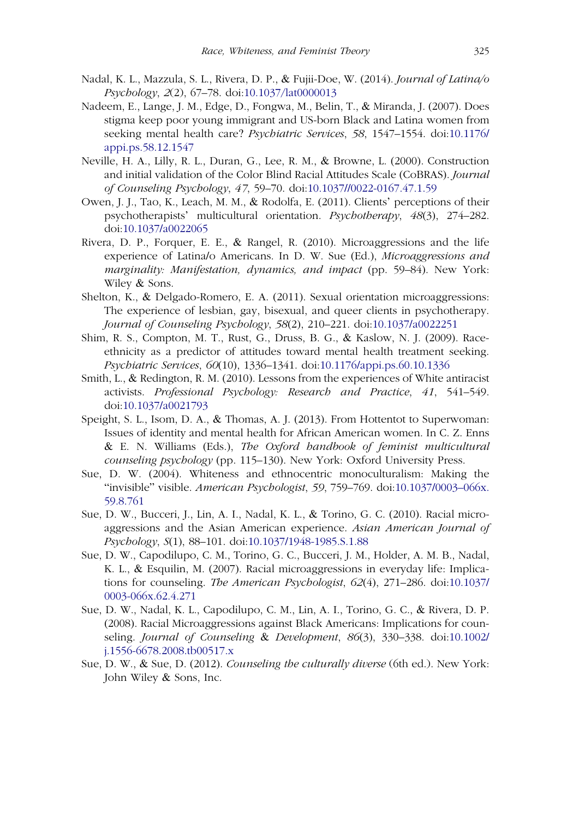- Nadal, K. L., Mazzula, S. L., Rivera, D. P., & Fujii-Doe, W. (2014). Journal of Latina/o Psychology, 2(2), 67–78. doi:10.1037/lat0000013
- Nadeem, E., Lange, J. M., Edge, D., Fongwa, M., Belin, T., & Miranda, J. (2007). Does stigma keep poor young immigrant and US-born Black and Latina women from seeking mental health care? Psychiatric Services, 58, 1547–1554. doi:10.1176/ appi.ps.58.12.1547
- Neville, H. A., Lilly, R. L., Duran, G., Lee, R. M., & Browne, L. (2000). Construction and initial validation of the Color Blind Racial Attitudes Scale (CoBRAS). Journal of Counseling Psychology, 47, 59–70. doi:10.1037//0022-0167.47.1.59
- Owen, J. J., Tao, K., Leach, M. M., & Rodolfa, E. (2011). Clients' perceptions of their psychotherapists' multicultural orientation. Psychotherapy, 48(3), 274–282. doi:10.1037/a0022065
- Rivera, D. P., Forquer, E. E.,  $\&$  Rangel, R. (2010). Microaggressions and the life experience of Latina/o Americans. In D. W. Sue (Ed.), Microaggressions and marginality: Manifestation, dynamics, and impact (pp. 59–84). New York: Wiley & Sons.
- Shelton, K., & Delgado-Romero, E. A. (2011). Sexual orientation microaggressions: The experience of lesbian, gay, bisexual, and queer clients in psychotherapy. Journal of Counseling Psychology, 58(2), 210–221. doi:10.1037/a0022251
- Shim, R. S., Compton, M. T., Rust, G., Druss, B. G., & Kaslow, N. J. (2009). Raceethnicity as a predictor of attitudes toward mental health treatment seeking. Psychiatric Services, 60(10), 1336–1341. doi:10.1176/appi.ps.60.10.1336
- Smith, L., & Redington, R. M. (2010). Lessons from the experiences of White antiracist activists. Professional Psychology: Research and Practice, 41, 541–549. doi:10.1037/a0021793
- Speight, S. L., Isom, D. A., & Thomas, A. J. (2013). From Hottentot to Superwoman: Issues of identity and mental health for African American women. In C. Z. Enns & E. N. Williams (Eds.), The Oxford handbook of feminist multicultural counseling psychology (pp. 115–130). New York: Oxford University Press.
- Sue, D. W. (2004). Whiteness and ethnocentric monoculturalism: Making the "invisible" visible. American Psychologist, 59, 759–769. doi:10.1037/0003–066x. 59.8.761
- Sue, D. W., Bucceri, J., Lin, A. I., Nadal, K. L., & Torino, G. C. (2010). Racial microaggressions and the Asian American experience. Asian American Journal of Psychology, S(1), 88–101. doi:10.1037/1948-1985.S.1.88
- Sue, D. W., Capodilupo, C. M., Torino, G. C., Bucceri, J. M., Holder, A. M. B., Nadal, K. L., & Esquilin, M. (2007). Racial microaggressions in everyday life: Implications for counseling. The American Psychologist, 62(4), 271–286. doi:10.1037/ 0003-066x.62.4.271
- Sue, D. W., Nadal, K. L., Capodilupo, C. M., Lin, A. I., Torino, G. C., & Rivera, D. P. (2008). Racial Microaggressions against Black Americans: Implications for counseling. Journal of Counseling & Development, 86(3), 330–338. doi:10.1002/ j.1556-6678.2008.tb00517.x
- Sue, D. W., & Sue, D. (2012). Counseling the culturally diverse (6th ed.). New York: John Wiley & Sons, Inc.